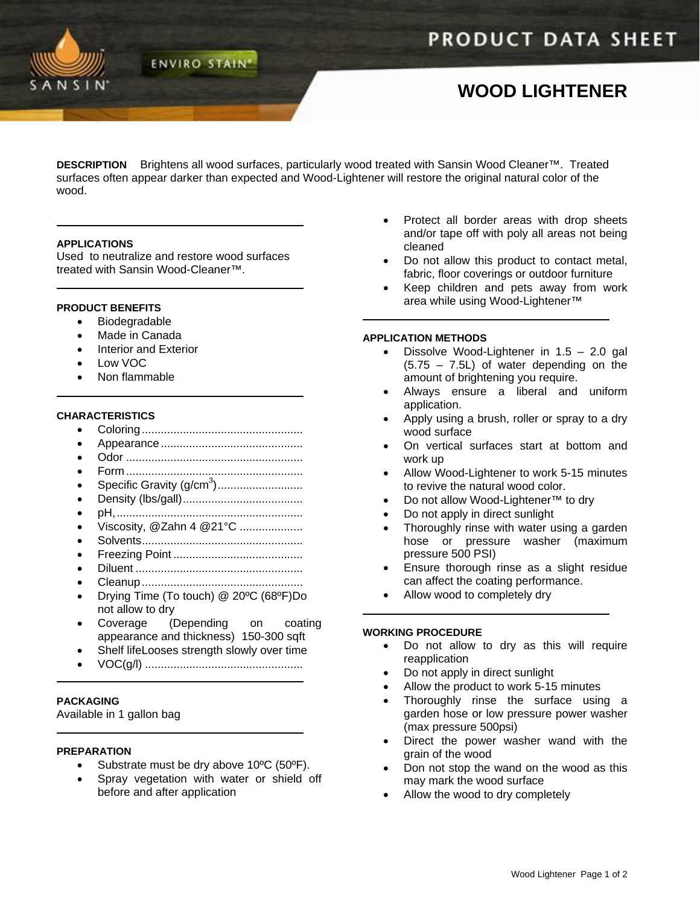

# **WOOD LIGHTENER**

**DESCRIPTION** Brightens all wood surfaces, particularly wood treated with Sansin Wood Cleaner™. Treated surfaces often appear darker than expected and Wood-Lightener will restore the original natural color of the wood.

## **APPLICATIONS**

Used to neutralize and restore wood surfaces treated with Sansin Wood-Cleaner™.

**ENVIRO STAIN'** 

## **PRODUCT BENEFITS**

- Biodegradable
- Made in Canada
- Interior and Exterior
- Low VOC
- Non flammable

# **CHARACTERISTICS**

- Coloring...................................................
- Appearance.............................................
- Odor ........................................................
- Form ........................................................
- Specific Gravity (g/cm<sup>3</sup> )...........................
- Density (lbs/gall)......................................
- pH,...........................................................
- Viscosity, @Zahn 4 @21°C ....................
- Solvents...................................................
- Freezing Point ......................................... • Diluent .....................................................
- Cleanup...................................................
- Drying Time (To touch) @ 20ºC (68ºF)Do not allow to dry
- Coverage (Depending on coating appearance and thickness) 150-300 sqft
- Shelf lifeLooses strength slowly over time
- VOC(g/l) ..................................................

# **PACKAGING**

Available in 1 gallon bag

#### **PREPARATION**

- Substrate must be dry above 10°C (50°F).
- Spray vegetation with water or shield off before and after application
- Protect all border areas with drop sheets and/or tape off with poly all areas not being cleaned
- Do not allow this product to contact metal, fabric, floor coverings or outdoor furniture
- Keep children and pets away from work area while using Wood-Lightener™

## **APPLICATION METHODS**

- Dissolve Wood-Lightener in  $1.5 2.0$  gal  $(5.75 - 7.5L)$  of water depending on the amount of brightening you require.
- Always ensure a liberal and uniform application.
- Apply using a brush, roller or spray to a dry wood surface
- On vertical surfaces start at bottom and work up
- Allow Wood-Lightener to work 5-15 minutes to revive the natural wood color.
- Do not allow Wood-Lightener™ to dry
- Do not apply in direct sunlight
- Thoroughly rinse with water using a garden hose or pressure washer (maximum pressure 500 PSI)
- Ensure thorough rinse as a slight residue can affect the coating performance.
- Allow wood to completely dry

#### **WORKING PROCEDURE**

- Do not allow to dry as this will require reapplication
- Do not apply in direct sunlight
- Allow the product to work 5-15 minutes
- Thoroughly rinse the surface using a garden hose or low pressure power washer (max pressure 500psi)
- Direct the power washer wand with the grain of the wood
- Don not stop the wand on the wood as this may mark the wood surface
- Allow the wood to dry completely